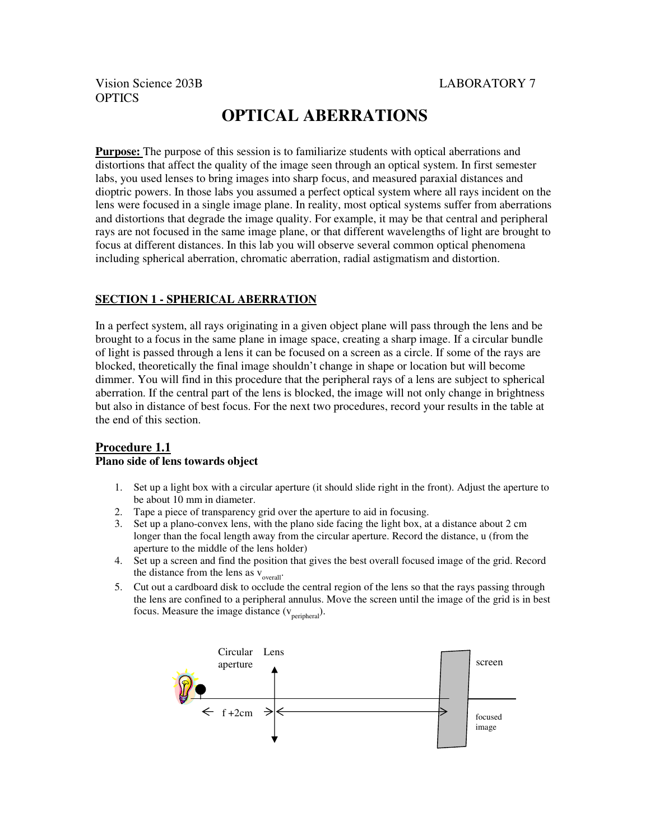# **OPTICAL ABERRATIONS**

Purpose: The purpose of this session is to familiarize students with optical aberrations and distortions that affect the quality of the image seen through an optical system. In first semester labs, you used lenses to bring images into sharp focus, and measured paraxial distances and dioptric powers. In those labs you assumed a perfect optical system where all rays incident on the lens were focused in a single image plane. In reality, most optical systems suffer from aberrations and distortions that degrade the image quality. For example, it may be that central and peripheral rays are not focused in the same image plane, or that different wavelengths of light are brought to focus at different distances. In this lab you will observe several common optical phenomena including spherical aberration, chromatic aberration, radial astigmatism and distortion.

### **SECTION 1 - SPHERICAL ABERRATION**

In a perfect system, all rays originating in a given object plane will pass through the lens and be brought to a focus in the same plane in image space, creating a sharp image. If a circular bundle of light is passed through a lens it can be focused on a screen as a circle. If some of the rays are blocked, theoretically the final image shouldn't change in shape or location but will become dimmer. You will find in this procedure that the peripheral rays of a lens are subject to spherical aberration. If the central part of the lens is blocked, the image will not only change in brightness but also in distance of best focus. For the next two procedures, record your results in the table at the end of this section.

## **Procedure 1.1**

### **Plano side of lens towards object**

- 1. Set up a light box with a circular aperture (it should slide right in the front). Adjust the aperture to be about 10 mm in diameter.
- 2. Tape a piece of transparency grid over the aperture to aid in focusing.
- 3. Set up a plano-convex lens, with the plano side facing the light box, at a distance about 2 cm longer than the focal length away from the circular aperture. Record the distance, u (from the aperture to the middle of the lens holder)
- 4. Set up a screen and find the position that gives the best overall focused image of the grid. Record the distance from the lens as  $v_{\text{overall}}$ .
- 5. Cut out a cardboard disk to occlude the central region of the lens so that the rays passing through the lens are confined to a peripheral annulus. Move the screen until the image of the grid is in best focus. Measure the image distance  $(v_{peripheral})$ .

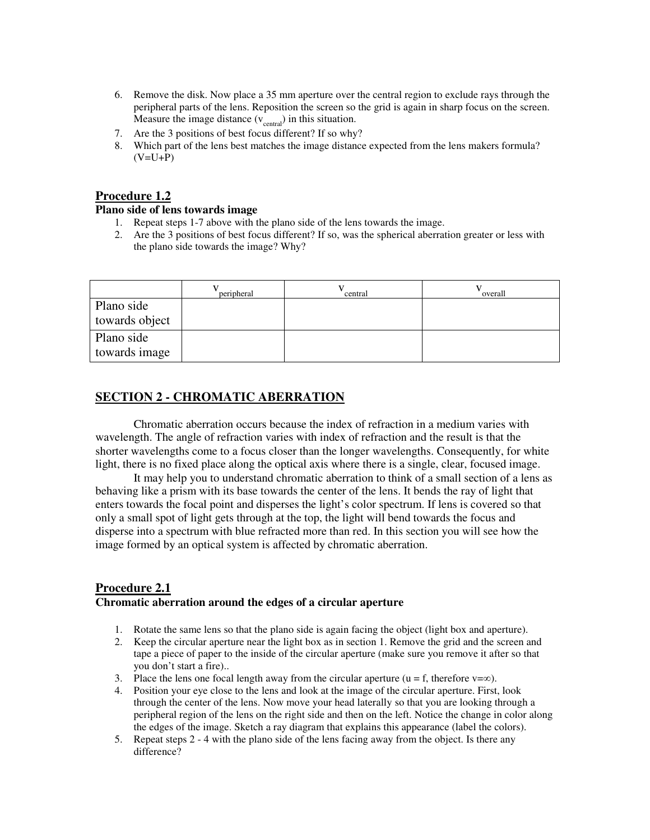- 6. Remove the disk. Now place a 35 mm aperture over the central region to exclude rays through the peripheral parts of the lens. Reposition the screen so the grid is again in sharp focus on the screen. Measure the image distance  $(v_{\text{central}})$  in this situation.
- 7. Are the 3 positions of best focus different? If so why?
- 8. Which part of the lens best matches the image distance expected from the lens makers formula?  $(V=U+P)$

### **Procedure 1.2**

#### **Plano side of lens towards image**

- 1. Repeat steps 1-7 above with the plano side of the lens towards the image.
- 2. Are the 3 positions of best focus different? If so, was the spherical aberration greater or less with the plano side towards the image? Why?

|                | peripheral | central | overall |
|----------------|------------|---------|---------|
| Plano side     |            |         |         |
| towards object |            |         |         |
| Plano side     |            |         |         |
| towards image  |            |         |         |

### **SECTION 2 - CHROMATIC ABERRATION**

Chromatic aberration occurs because the index of refraction in a medium varies with wavelength. The angle of refraction varies with index of refraction and the result is that the shorter wavelengths come to a focus closer than the longer wavelengths. Consequently, for white light, there is no fixed place along the optical axis where there is a single, clear, focused image.

It may help you to understand chromatic aberration to think of a small section of a lens as behaving like a prism with its base towards the center of the lens. It bends the ray of light that enters towards the focal point and disperses the light's color spectrum. If lens is covered so that only a small spot of light gets through at the top, the light will bend towards the focus and disperse into a spectrum with blue refracted more than red. In this section you will see how the image formed by an optical system is affected by chromatic aberration.

#### **Procedure 2.1 Chromatic aberration around the edges of a circular aperture**

- 1. Rotate the same lens so that the plano side is again facing the object (light box and aperture).
- 2. Keep the circular aperture near the light box as in section 1. Remove the grid and the screen and tape a piece of paper to the inside of the circular aperture (make sure you remove it after so that you don't start a fire)..
- 3. Place the lens one focal length away from the circular aperture (u = f, therefore v= $\infty$ ).
- 4. Position your eye close to the lens and look at the image of the circular aperture. First, look through the center of the lens. Now move your head laterally so that you are looking through a peripheral region of the lens on the right side and then on the left. Notice the change in color along the edges of the image. Sketch a ray diagram that explains this appearance (label the colors).
- 5. Repeat steps 2 4 with the plano side of the lens facing away from the object. Is there any difference?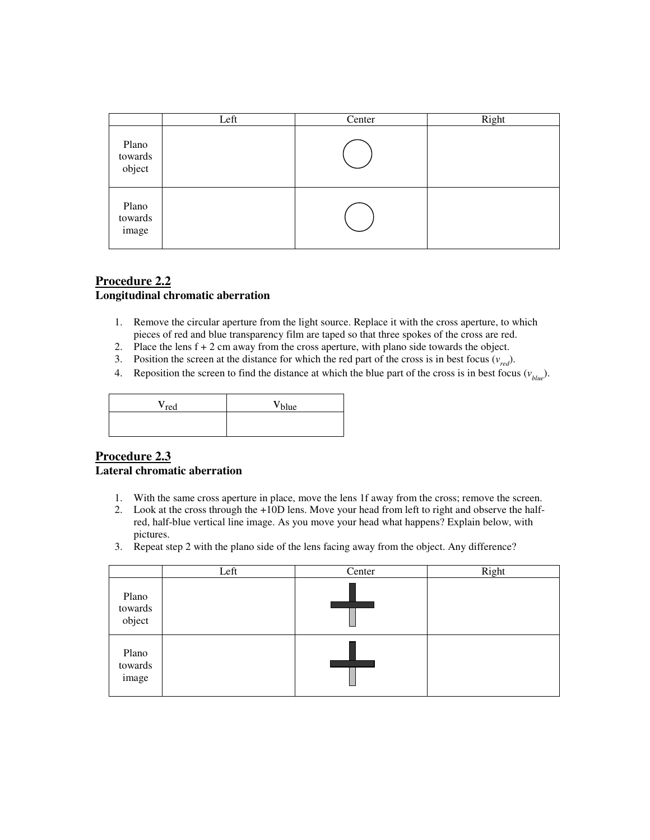|                            | Left | Center | Right |
|----------------------------|------|--------|-------|
| Plano<br>towards<br>object |      |        |       |
| Plano<br>towards<br>image  |      |        |       |

### **Procedure 2.2 Longitudinal chromatic aberration**

- 1. Remove the circular aperture from the light source. Replace it with the cross aperture, to which pieces of red and blue transparency film are taped so that three spokes of the cross are red.
- 2. Place the lens f + 2 cm away from the cross aperture, with plano side towards the object.
- 3. Position the screen at the distance for which the red part of the cross is in best focus  $(v_{red})$ .
- 4. Reposition the screen to find the distance at which the blue part of the cross is in best focus  $(v_{blue})$ .

| ${\rm v_{red}}$ | $V_{blue}$ |
|-----------------|------------|
|                 |            |

#### **Procedure 2.3 Lateral chromatic aberration**

- 1. With the same cross aperture in place, move the lens 1f away from the cross; remove the screen.
- 2. Look at the cross through the +10D lens. Move your head from left to right and observe the halfred, half-blue vertical line image. As you move your head what happens? Explain below, with pictures.
- 3. Repeat step 2 with the plano side of the lens facing away from the object. Any difference?

|                            | Left | Center | Right |
|----------------------------|------|--------|-------|
| Plano<br>towards<br>object |      |        |       |
| Plano<br>towards<br>image  |      |        |       |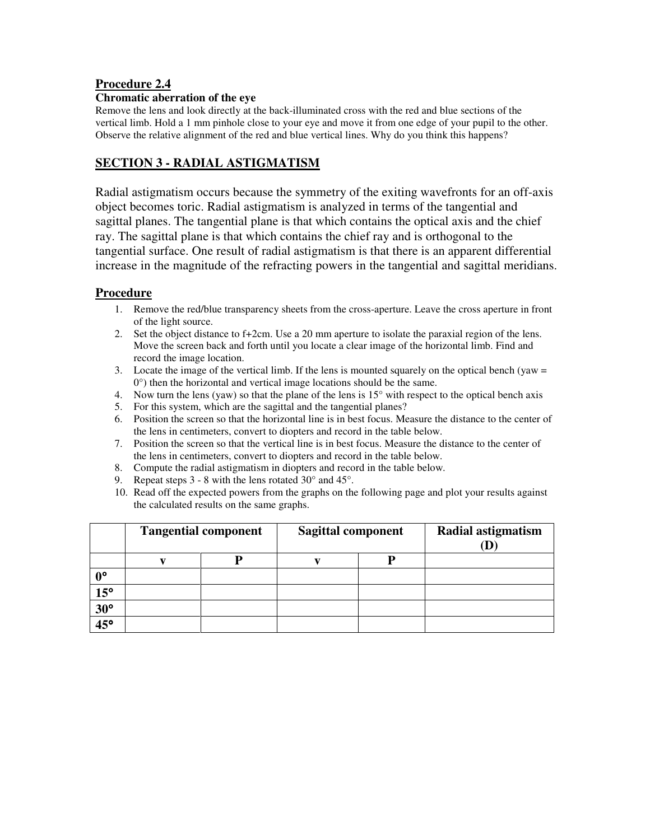### **Procedure 2.4**

#### **Chromatic aberration of the eye**

Remove the lens and look directly at the back-illuminated cross with the red and blue sections of the vertical limb. Hold a 1 mm pinhole close to your eye and move it from one edge of your pupil to the other. Observe the relative alignment of the red and blue vertical lines. Why do you think this happens?

### **SECTION 3 - RADIAL ASTIGMATISM**

Radial astigmatism occurs because the symmetry of the exiting wavefronts for an off-axis object becomes toric. Radial astigmatism is analyzed in terms of the tangential and sagittal planes. The tangential plane is that which contains the optical axis and the chief ray. The sagittal plane is that which contains the chief ray and is orthogonal to the tangential surface. One result of radial astigmatism is that there is an apparent differential increase in the magnitude of the refracting powers in the tangential and sagittal meridians.

### **Procedure**

- 1. Remove the red/blue transparency sheets from the cross-aperture. Leave the cross aperture in front of the light source.
- 2. Set the object distance to f+2cm. Use a 20 mm aperture to isolate the paraxial region of the lens. Move the screen back and forth until you locate a clear image of the horizontal limb. Find and record the image location.
- 3. Locate the image of the vertical limb. If the lens is mounted squarely on the optical bench (yaw = 0°) then the horizontal and vertical image locations should be the same.
- 4. Now turn the lens (yaw) so that the plane of the lens is 15° with respect to the optical bench axis
- 5. For this system, which are the sagittal and the tangential planes?
- 6. Position the screen so that the horizontal line is in best focus. Measure the distance to the center of the lens in centimeters, convert to diopters and record in the table below.
- 7. Position the screen so that the vertical line is in best focus. Measure the distance to the center of the lens in centimeters, convert to diopters and record in the table below.
- 8. Compute the radial astigmatism in diopters and record in the table below.
- 9. Repeat steps  $3 8$  with the lens rotated  $30^{\circ}$  and  $45^{\circ}$ .
- 10. Read off the expected powers from the graphs on the following page and plot your results against the calculated results on the same graphs.

|              | <b>Tangential component</b> |  | <b>Sagittal component</b> |   | Radial astigmatism |
|--------------|-----------------------------|--|---------------------------|---|--------------------|
|              |                             |  |                           | n |                    |
| $0^{\circ}$  |                             |  |                           |   |                    |
| 15°          |                             |  |                           |   |                    |
| $30^{\circ}$ |                             |  |                           |   |                    |
| $45^{\circ}$ |                             |  |                           |   |                    |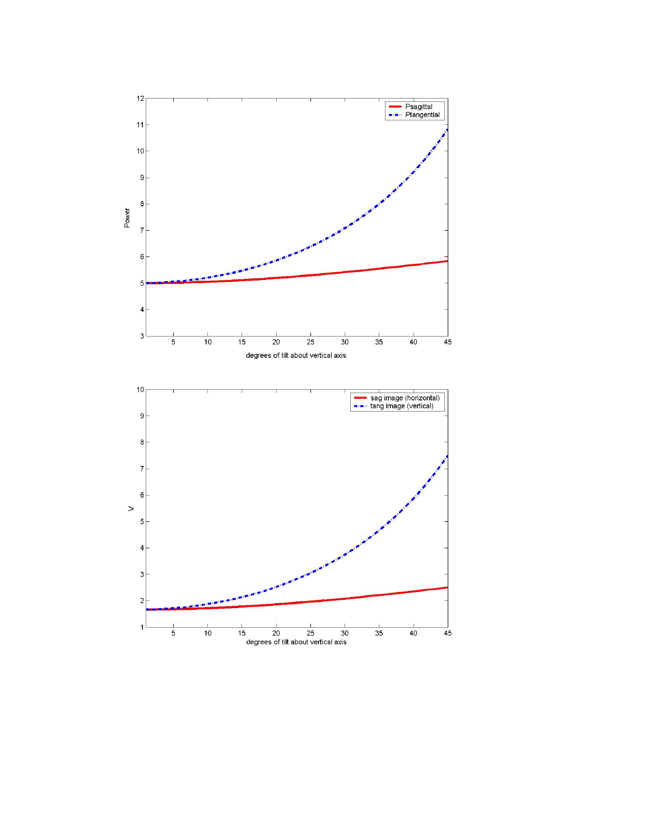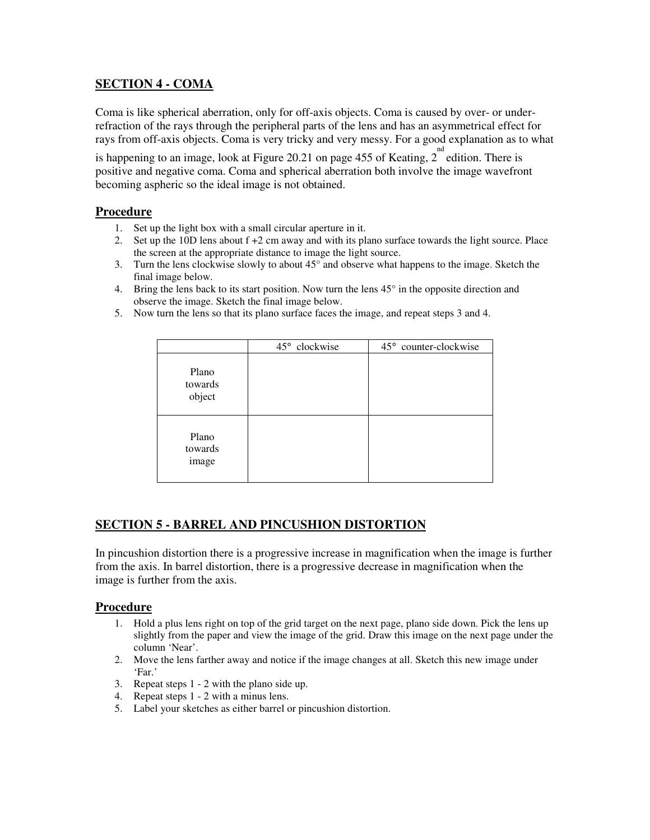### **SECTION 4 - COMA**

Coma is like spherical aberration, only for off-axis objects. Coma is caused by over- or underrefraction of the rays through the peripheral parts of the lens and has an asymmetrical effect for rays from off-axis objects. Coma is very tricky and very messy. For a good explanation as to what

is happening to an image, look at Figure 20.21 on page 455 of Keating,  $2^{nd}$  edition. There is positive and negative coma. Coma and spherical aberration both involve the image wavefront becoming aspheric so the ideal image is not obtained.

### **Procedure**

- 1. Set up the light box with a small circular aperture in it.
- 2. Set up the 10D lens about f +2 cm away and with its plano surface towards the light source. Place the screen at the appropriate distance to image the light source.
- 3. Turn the lens clockwise slowly to about  $45^{\circ}$  and observe what happens to the image. Sketch the final image below.
- 4. Bring the lens back to its start position. Now turn the lens 45° in the opposite direction and observe the image. Sketch the final image below.
- 5. Now turn the lens so that its plano surface faces the image, and repeat steps 3 and 4.

|                            | 45° clockwise | 45° counter-clockwise |
|----------------------------|---------------|-----------------------|
| Plano<br>towards<br>object |               |                       |
| Plano<br>towards<br>image  |               |                       |

### **SECTION 5 - BARREL AND PINCUSHION DISTORTION**

In pincushion distortion there is a progressive increase in magnification when the image is further from the axis. In barrel distortion, there is a progressive decrease in magnification when the image is further from the axis.

#### **Procedure**

- 1. Hold a plus lens right on top of the grid target on the next page, plano side down. Pick the lens up slightly from the paper and view the image of the grid. Draw this image on the next page under the column 'Near'.
- 2. Move the lens farther away and notice if the image changes at all. Sketch this new image under 'Far.'
- 3. Repeat steps 1 2 with the plano side up.
- 4. Repeat steps 1 2 with a minus lens.
- 5. Label your sketches as either barrel or pincushion distortion.